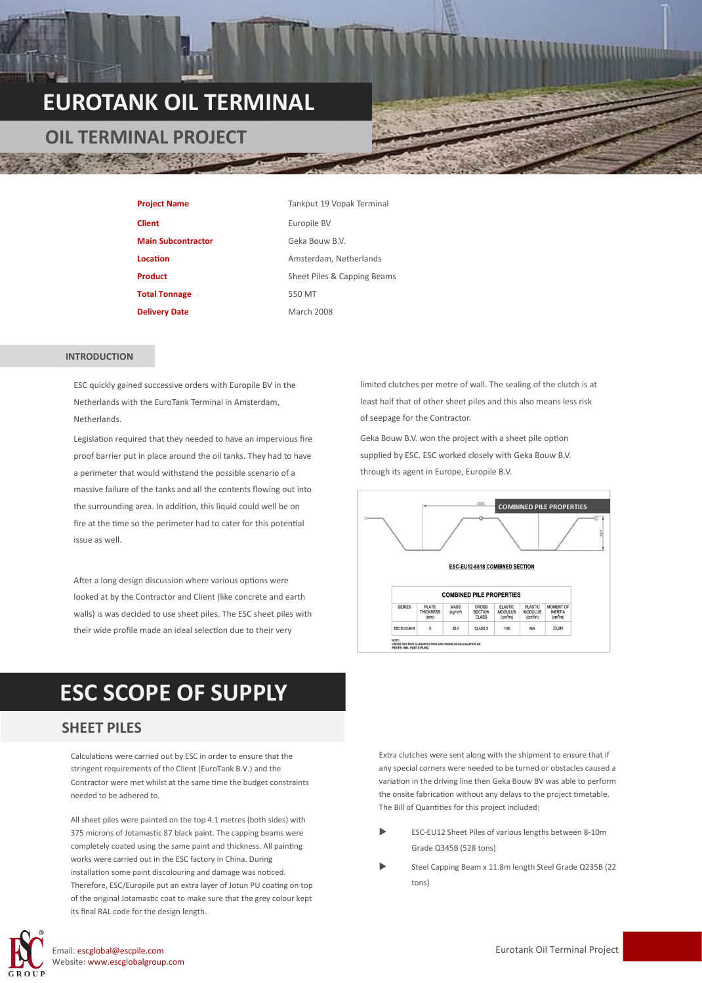## **EUROTANK OIL TERMINAL**

### **OIL TERMINAL PROJECT**

| <b>Project Name</b>       | Tankput 19 Vopak Terminal   |
|---------------------------|-----------------------------|
| <b>Client</b>             | Europile BV                 |
| <b>Main Subcontractor</b> | Geka Bouw B.V.              |
| Location                  | Amsterdam, Netherlands      |
| <b>Product</b>            | Sheet Piles & Capping Beams |
| <b>Total Tonnage</b>      | 550 MT                      |
| <b>Delivery Date</b>      | <b>March 2008</b>           |

#### **INTRODUCTION**

ESC quickly gained successive orders with Europile BV in the Netherlands with the EuroTank Terminal in Amsterdam, **Netherlands** 

Legislation required that they needed to have an impervious fire proof barrier put in place around the oil tanks. They had to have a perimeter that would withstand the possible scenario of a massive failure of the tanks and all the contents flowing out into the surrounding area. In addition, this liquid could well be on fire at the time so the perimeter had to cater for this potential issue as well.

After a long design discussion where various options were looked at by the Contractor and Client (like concrete and earth walls) is was decided to use sheet piles. The ESC sheet piles with their wide profile made an ideal selection due to their very

limited clutches per metre of wall. The sealing of the clutch is at least half that of other sheet piles and this also means less risk of seepage for the Contractor.

Geka Bouw B.V. won the project with a sheet pile option supplied by ESC. ESC worked closely with Geka Bouw B.V. through its agent in Europe, Europile B.V.



### **ESC SCOPE OF SUPPLY**

#### **SHEET PILES**

Calculations were carried out by ESC in order to ensure that the stringent requirements of the Client (EuroTank B.V.) and the Contractor were met whilst at the same time the budget constraints needed to be adhered to.

All sheet piles were painted on the top 4.1 metres (both sides) with 375 microns of Jotamastic 87 black paint. The capping beams were completely coated using the same paint and thickness. All painting works were carried out in the ESC factory in China. During installation some paint discolouring and damage was noticed. Therefore, ESC/Europile put an extra layer of Jotun PU coating on top of the original Jotamastic coat to make sure that the grey colour kept its final RAL code for the design length.



Email: escglobal@escpile.com Website: www.escglobalgroup.com Extra clutches were sent along with the shipment to ensure that if any special corners were needed to be turned or obstacles caused a variation in the driving line then Geka Bouw BV was able to perform the onsite fabrication without any delays to the project timetable. The Bill of Quantities for this project included:

- ESC-EU12 Sheet Piles of various lengths between 8-10m Grade Q345B (528 tons)
- Steel Capping Beam x 11.8m length Steel Grade Q235B (22 tons)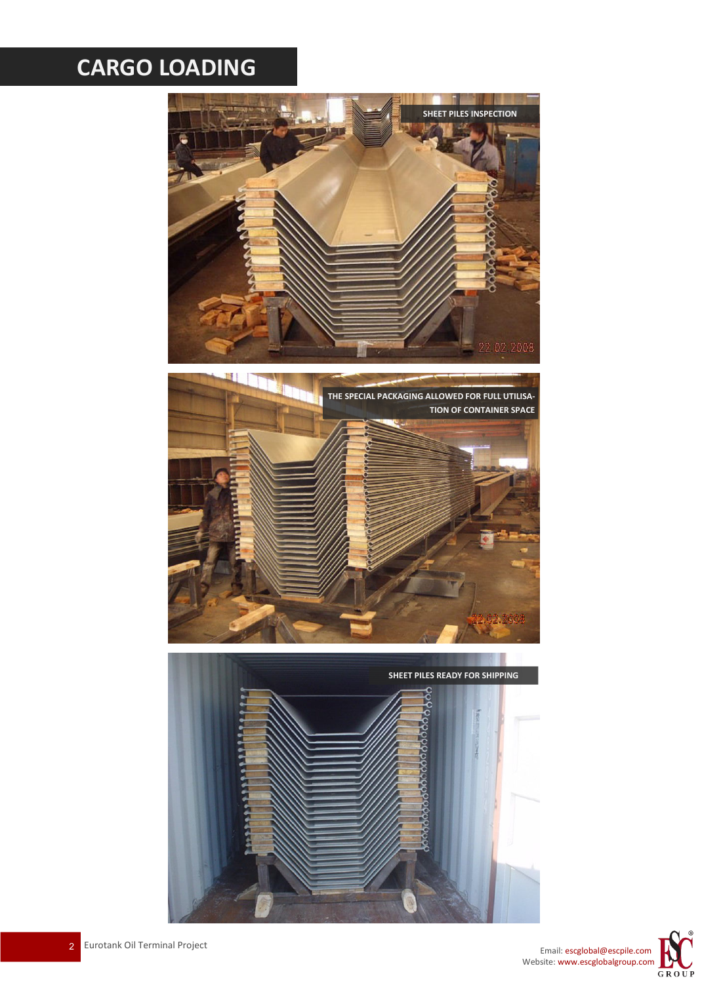# **CARGO LOADING**